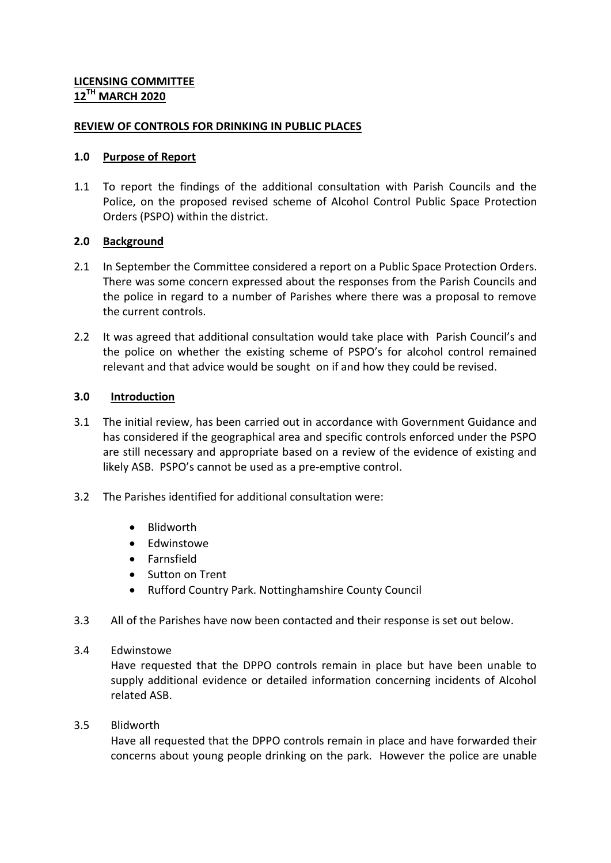#### **REVIEW OF CONTROLS FOR DRINKING IN PUBLIC PLACES**

#### **1.0 Purpose of Report**

1.1 To report the findings of the additional consultation with Parish Councils and the Police, on the proposed revised scheme of Alcohol Control Public Space Protection Orders (PSPO) within the district.

## **2.0 Background**

- 2.1 In September the Committee considered a report on a Public Space Protection Orders. There was some concern expressed about the responses from the Parish Councils and the police in regard to a number of Parishes where there was a proposal to remove the current controls.
- 2.2 It was agreed that additional consultation would take place with Parish Council's and the police on whether the existing scheme of PSPO's for alcohol control remained relevant and that advice would be sought on if and how they could be revised.

#### **3.0 Introduction**

- 3.1 The initial review, has been carried out in accordance with Government Guidance and has considered if the geographical area and specific controls enforced under the PSPO are still necessary and appropriate based on a review of the evidence of existing and likely ASB. PSPO's cannot be used as a pre-emptive control.
- 3.2 The Parishes identified for additional consultation were:
	- Blidworth
	- Edwinstowe
	- **•** Farnsfield
	- Sutton on Trent
	- Rufford Country Park. Nottinghamshire County Council
- 3.3 All of the Parishes have now been contacted and their response is set out below.
- 3.4 Edwinstowe

Have requested that the DPPO controls remain in place but have been unable to supply additional evidence or detailed information concerning incidents of Alcohol related ASB.

3.5 Blidworth

Have all requested that the DPPO controls remain in place and have forwarded their concerns about young people drinking on the park. However the police are unable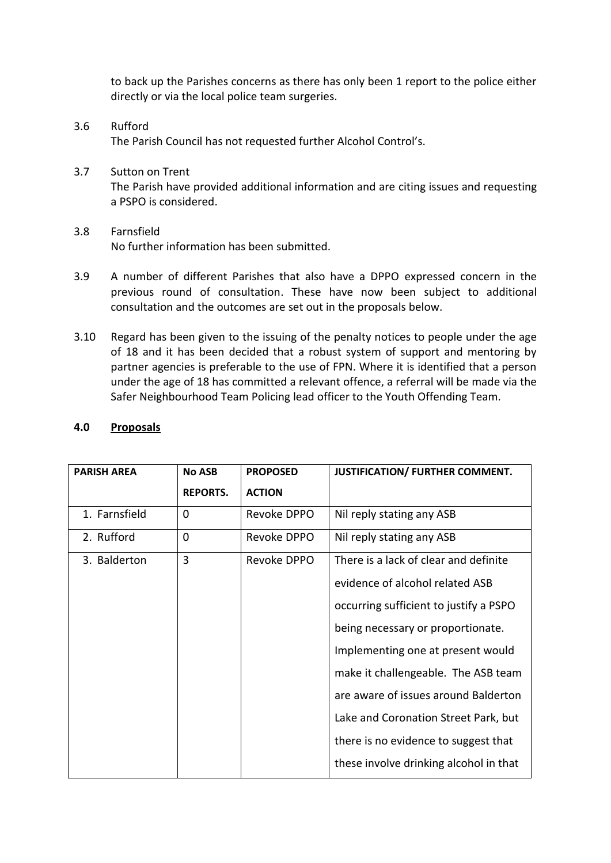to back up the Parishes concerns as there has only been 1 report to the police either directly or via the local police team surgeries.

3.6 Rufford The Parish Council has not requested further Alcohol Control's.

# 3.7 Sutton on Trent

The Parish have provided additional information and are citing issues and requesting a PSPO is considered.

## 3.8 Farnsfield No further information has been submitted.

- 3.9 A number of different Parishes that also have a DPPO expressed concern in the previous round of consultation. These have now been subject to additional consultation and the outcomes are set out in the proposals below.
- 3.10 Regard has been given to the issuing of the penalty notices to people under the age of 18 and it has been decided that a robust system of support and mentoring by partner agencies is preferable to the use of FPN. Where it is identified that a person under the age of 18 has committed a relevant offence, a referral will be made via the Safer Neighbourhood Team Policing lead officer to the Youth Offending Team.

| <b>PARISH AREA</b> | <b>No ASB</b>   | <b>PROPOSED</b> | JUSTIFICATION/ FURTHER COMMENT.        |
|--------------------|-----------------|-----------------|----------------------------------------|
|                    | <b>REPORTS.</b> | <b>ACTION</b>   |                                        |
| 1. Farnsfield      | 0               | Revoke DPPO     | Nil reply stating any ASB              |
| 2. Rufford         | $\overline{0}$  | Revoke DPPO     | Nil reply stating any ASB              |
| 3. Balderton       | 3               | Revoke DPPO     | There is a lack of clear and definite  |
|                    |                 |                 | evidence of alcohol related ASB        |
|                    |                 |                 | occurring sufficient to justify a PSPO |
|                    |                 |                 | being necessary or proportionate.      |
|                    |                 |                 | Implementing one at present would      |
|                    |                 |                 | make it challengeable. The ASB team    |
|                    |                 |                 | are aware of issues around Balderton   |
|                    |                 |                 | Lake and Coronation Street Park, but   |
|                    |                 |                 | there is no evidence to suggest that   |
|                    |                 |                 | these involve drinking alcohol in that |

#### **4.0 Proposals**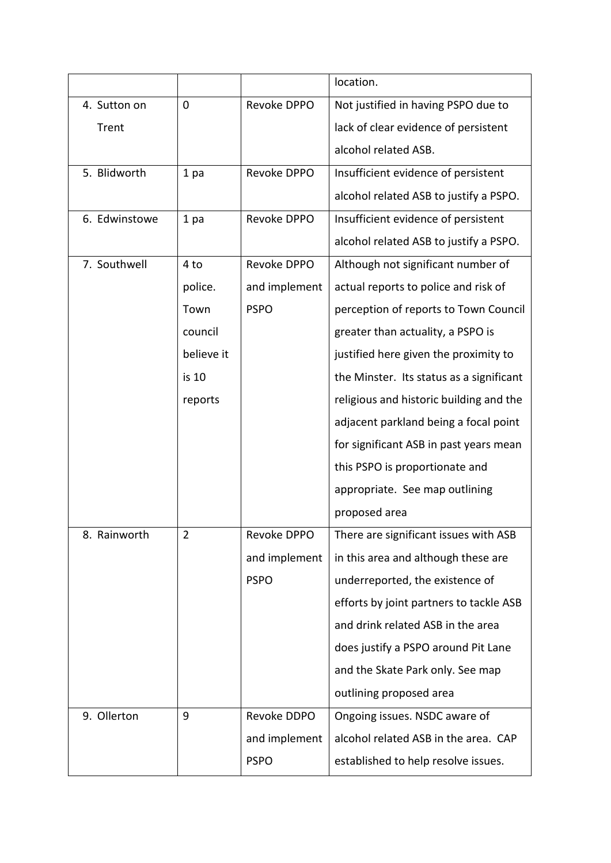|               |                 |               | location.                                |
|---------------|-----------------|---------------|------------------------------------------|
| 4. Sutton on  | 0               | Revoke DPPO   | Not justified in having PSPO due to      |
| Trent         |                 |               | lack of clear evidence of persistent     |
|               |                 |               | alcohol related ASB.                     |
| 5. Blidworth  | 1 <sub>pa</sub> | Revoke DPPO   | Insufficient evidence of persistent      |
|               |                 |               | alcohol related ASB to justify a PSPO.   |
| 6. Edwinstowe | 1 pa            | Revoke DPPO   | Insufficient evidence of persistent      |
|               |                 |               | alcohol related ASB to justify a PSPO.   |
| 7. Southwell  | 4 to            | Revoke DPPO   | Although not significant number of       |
|               | police.         | and implement | actual reports to police and risk of     |
|               | Town            | <b>PSPO</b>   | perception of reports to Town Council    |
|               | council         |               | greater than actuality, a PSPO is        |
|               | believe it      |               | justified here given the proximity to    |
|               | is 10           |               | the Minster. Its status as a significant |
|               | reports         |               | religious and historic building and the  |
|               |                 |               | adjacent parkland being a focal point    |
|               |                 |               | for significant ASB in past years mean   |
|               |                 |               | this PSPO is proportionate and           |
|               |                 |               | appropriate. See map outlining           |
|               |                 |               | proposed area                            |
| 8. Rainworth  | 2               | Revoke DPPO   | There are significant issues with ASB    |
|               |                 | and implement | in this area and although these are      |
|               |                 | <b>PSPO</b>   | underreported, the existence of          |
|               |                 |               | efforts by joint partners to tackle ASB  |
|               |                 |               | and drink related ASB in the area        |
|               |                 |               | does justify a PSPO around Pit Lane      |
|               |                 |               | and the Skate Park only. See map         |
|               |                 |               | outlining proposed area                  |
| 9. Ollerton   | 9               | Revoke DDPO   | Ongoing issues. NSDC aware of            |
|               |                 | and implement | alcohol related ASB in the area. CAP     |
|               |                 | <b>PSPO</b>   | established to help resolve issues.      |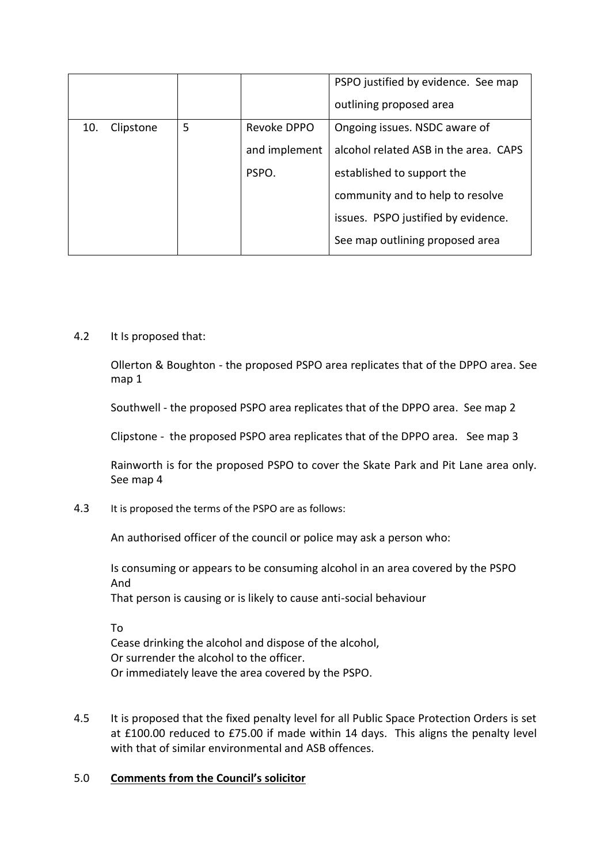|     |           |   |               | PSPO justified by evidence. See map<br>outlining proposed area |
|-----|-----------|---|---------------|----------------------------------------------------------------|
| 10. | Clipstone | 5 | Revoke DPPO   | Ongoing issues. NSDC aware of                                  |
|     |           |   | and implement | alcohol related ASB in the area. CAPS                          |
|     |           |   | PSPO.         | established to support the                                     |
|     |           |   |               | community and to help to resolve                               |
|     |           |   |               | issues. PSPO justified by evidence.                            |
|     |           |   |               | See map outlining proposed area                                |

## 4.2 It Is proposed that:

Ollerton & Boughton - the proposed PSPO area replicates that of the DPPO area. See map 1

Southwell - the proposed PSPO area replicates that of the DPPO area. See map 2

Clipstone - the proposed PSPO area replicates that of the DPPO area. See map 3

Rainworth is for the proposed PSPO to cover the Skate Park and Pit Lane area only. See map 4

4.3 It is proposed the terms of the PSPO are as follows:

An authorised officer of the council or police may ask a person who:

Is consuming or appears to be consuming alcohol in an area covered by the PSPO And That person is causing or is likely to cause anti-social behaviour

To

Cease drinking the alcohol and dispose of the alcohol, Or surrender the alcohol to the officer. Or immediately leave the area covered by the PSPO.

4.5 It is proposed that the fixed penalty level for all Public Space Protection Orders is set at £100.00 reduced to £75.00 if made within 14 days. This aligns the penalty level with that of similar environmental and ASB offences.

# 5.0 **Comments from the Council's solicitor**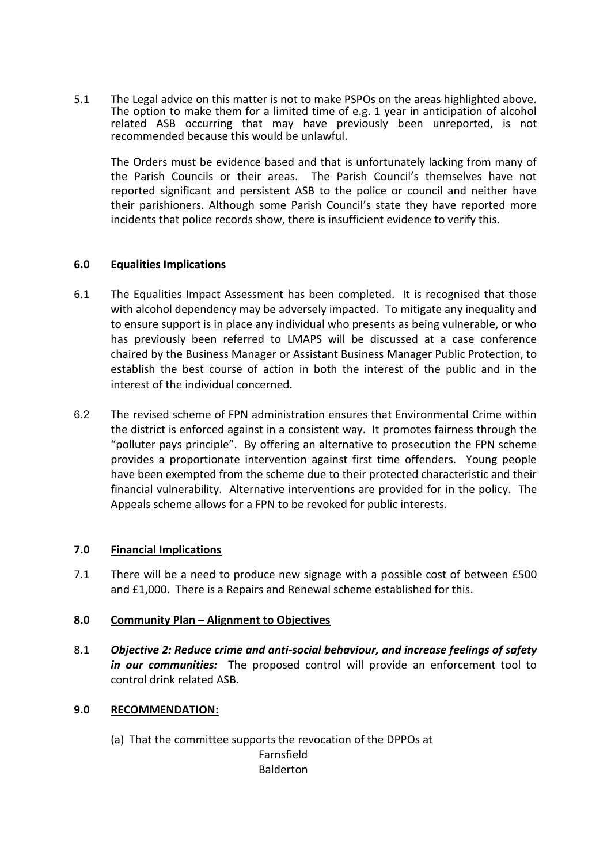5.1 The Legal advice on this matter is not to make PSPOs on the areas highlighted above. The option to make them for a limited time of e.g. 1 year in anticipation of alcohol related ASB occurring that may have previously been unreported, is not recommended because this would be unlawful.

The Orders must be evidence based and that is unfortunately lacking from many of the Parish Councils or their areas. The Parish Council's themselves have not reported significant and persistent ASB to the police or council and neither have their parishioners. Although some Parish Council's state they have reported more incidents that police records show, there is insufficient evidence to verify this.

# **6.0 Equalities Implications**

- 6.1 The Equalities Impact Assessment has been completed. It is recognised that those with alcohol dependency may be adversely impacted. To mitigate any inequality and to ensure support is in place any individual who presents as being vulnerable, or who has previously been referred to LMAPS will be discussed at a case conference chaired by the Business Manager or Assistant Business Manager Public Protection, to establish the best course of action in both the interest of the public and in the interest of the individual concerned.
- 6.2 The revised scheme of FPN administration ensures that Environmental Crime within the district is enforced against in a consistent way. It promotes fairness through the "polluter pays principle". By offering an alternative to prosecution the FPN scheme provides a proportionate intervention against first time offenders. Young people have been exempted from the scheme due to their protected characteristic and their financial vulnerability. Alternative interventions are provided for in the policy. The Appeals scheme allows for a FPN to be revoked for public interests.

# **7.0 Financial Implications**

7.1 There will be a need to produce new signage with a possible cost of between £500 and £1,000. There is a Repairs and Renewal scheme established for this.

## **8.0 Community Plan – Alignment to Objectives**

8.1 *Objective 2: Reduce crime and anti-social behaviour, and increase feelings of safety in our communities:* The proposed control will provide an enforcement tool to control drink related ASB.

## **9.0 RECOMMENDATION:**

(a) That the committee supports the revocation of the DPPOs at

Farnsfield Balderton